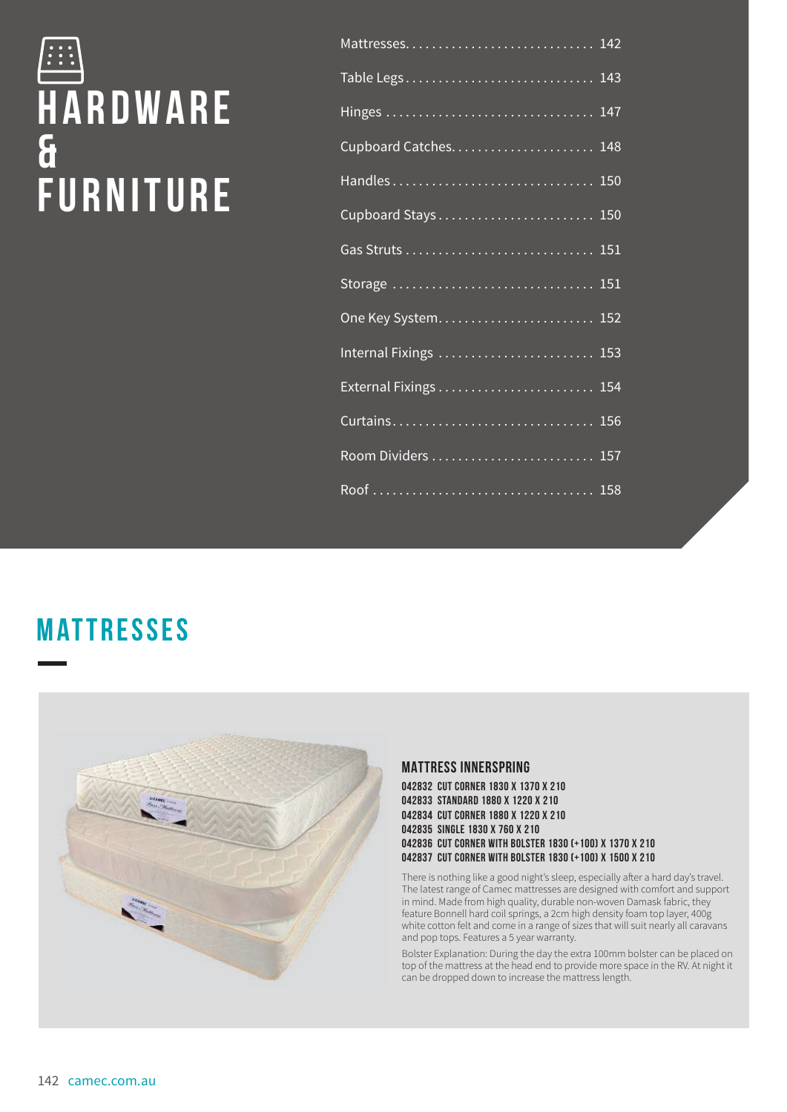# **H a r d w a r e & FURNITURE**

| Mattresses 142        |  |
|-----------------------|--|
| Table Legs 143        |  |
|                       |  |
|                       |  |
| Handles 150           |  |
| Cupboard Stays 150    |  |
|                       |  |
|                       |  |
|                       |  |
| Internal Fixings  153 |  |
|                       |  |
| Curtains 156          |  |
|                       |  |
|                       |  |

## **Mattresses**



## **MATTRESS INNERSPRING**

**042832 CUT CORNER 1830 X 1370 X 210 042833 STANDARD 1880 X 1220 X 210 042834 CUT CORNER 1880 X 1220 X 210 042835 SINGLE 1830 X 760 X 210 042836 CUT CORNER WITH BOLSTER 1830 (+100) X 1370 X 210 042837 CUT CORNER WITH BOLSTER 1830 (+100) X 1500 X 210**

There is nothing like a good night's sleep, especially after a hard day's travel. The latest range of Camec mattresses are designed with comfort and support in mind. Made from high quality, durable non-woven Damask fabric, they feature Bonnell hard coil springs, a 2cm high density foam top layer, 400g white cotton felt and come in a range of sizes that will suit nearly all caravans and pop tops. Features a 5 year warranty.

Bolster Explanation: During the day the extra 100mm bolster can be placed on top of the mattress at the head end to provide more space in the RV. At night it can be dropped down to increase the mattress length.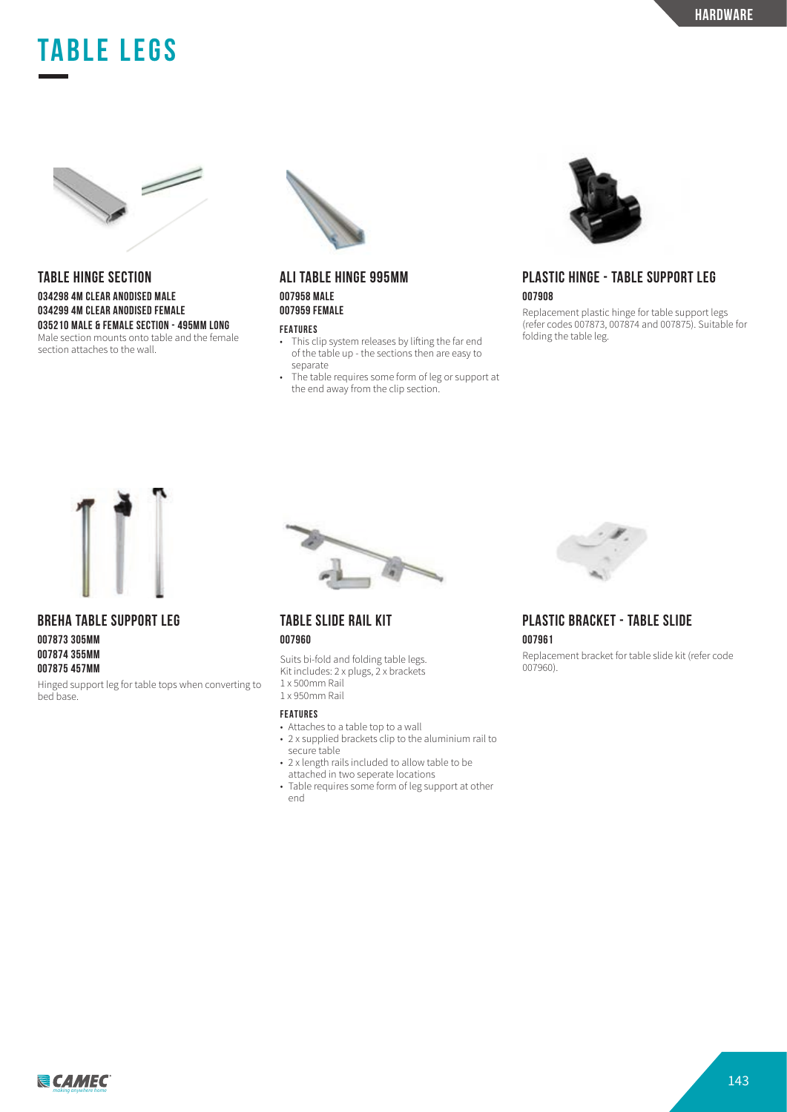## **TABLE LEGS**



#### **TABLE HINGE SECTION 034298 4M CLEAR ANODISED MALE 034299 4M CLEAR ANODISED FEMALE 035210 MALE & FEMALE SECTION - 495MM LONG** Male section mounts onto table and the female section attaches to the wall.



### **ALI TABLE HINGE 995MM 007958 MALE 007959 FEMALE**

#### **FEATURES**

- This clip system releases by lifting the far end of the table up - the sections then are easy to separate
- The table requires some form of leg or support at the end away from the clip section.



## **PLASTIC HINGE - TABLE SUPPORT LEG 007908**

Replacement plastic hinge for table support legs (refer codes 007873, 007874 and 007875). Suitable for folding the table leg.



**BREHA TABLE SUPPORT LEG**

**007873 305MM 007874 355MM 007875 457MM**

Hinged support leg for table tops when converting to bed base.



## **TABLE SLIDE RAIL KIT 007960**

Suits bi-fold and folding table legs. Kit includes: 2 x plugs, 2 x brackets 1 x 500mm Rail 1 x 950mm Rail

#### **FEATURES**

- Attaches to a table top to a wall
- 2 x supplied brackets clip to the aluminium rail to
- secure table
- 2 x length rails included to allow table to be attached in two seperate locations
- Table requires some form of leg support at other end



## **PLASTIC BRACKET - TABLE SLIDE 007961**

Replacement bracket for table slide kit (refer code 007960).

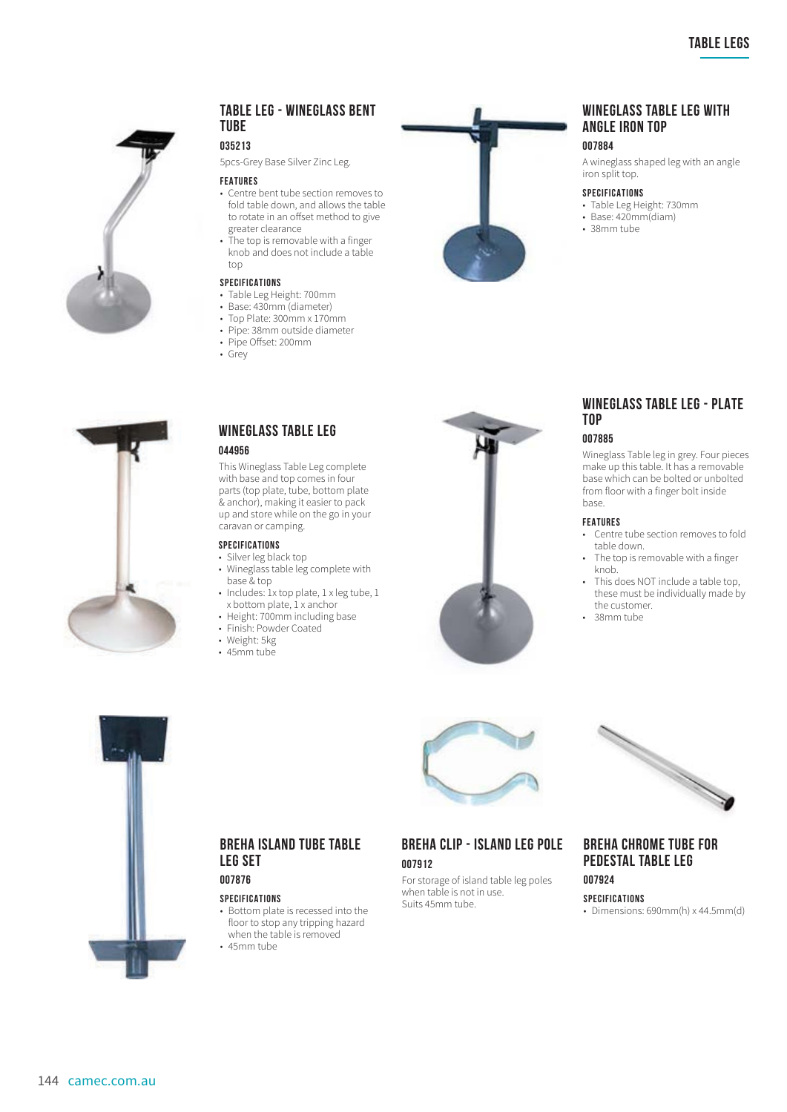

#### **TABLE LEG - WINEGLASS BENT TUBE**

#### **035213**

5pcs-Grey Base Silver Zinc Leg.

#### **FEATURES**

- Centre bent tube section removes to fold table down, and allows the table to rotate in an offset method to give greater clearance • The top is removable with a finger
- knob and does not include a table top

#### **SPECIFICATIONS**

- Table Leg Height: 700mm
- Base: 430mm (diameter)
- Top Plate: 300mm x 170mm
- Pipe: 38mm outside diameter • Pipe Offset: 200mm
- 
- Grey



## **WINEGLASS TABLE LEG WITH ANGLE IRON TOP**

#### **007884**

A wineglass shaped leg with an angle iron split top.

#### **SPECIFICATIONS**

- Table Leg Height: 730mm
- Base: 420mm(diam)
- 38mm tube



#### **WINEGLASS TABLE LEG 044956**

This Wineglass Table Leg complete with base and top comes in four parts (top plate, tube, bottom plate & anchor), making it easier to pack up and store while on the go in your caravan or camping.

#### **SPECIFICATIONS**

- Silver leg black top
- Wineglass table leg complete with base & top
- Includes: 1x top plate, 1 x leg tube, 1 x bottom plate, 1 x anchor
- Height: 700mm including base
- Finish: Powder Coated
- Weight: 5kg
- 45mm tube



## **WINEGLASS TABLE LEG - PLATE TOP**

#### **007885**

Wineglass Table leg in grey. Four pieces make up this table. It has a removable base which can be bolted or unbolted from floor with a finger bolt inside base.

#### **FEATURES**

- Centre tube section removes to fold table down.
- The top is removable with a finger knob.
- This does NOT include a table top, these must be individually made by the customer.
- 38mm tube



## **BREHA CLIP - ISLAND LEG POLE 007912**

For storage of island table leg poles when table is not in use. Suits 45mm tube.



## **BREHA CHROME TUBE FOR PEDESTAL TABLE LEG**

**SPECIFICATIONS**

**007924**

• Dimensions: 690mm(h) x 44.5mm(d)



144 camec.com.au

**BREHA ISLAND TUBE TABLE LEG SET 007876**

- Bottom plate is recessed into the floor to stop any tripping hazard when the table is removed
- 45mm tube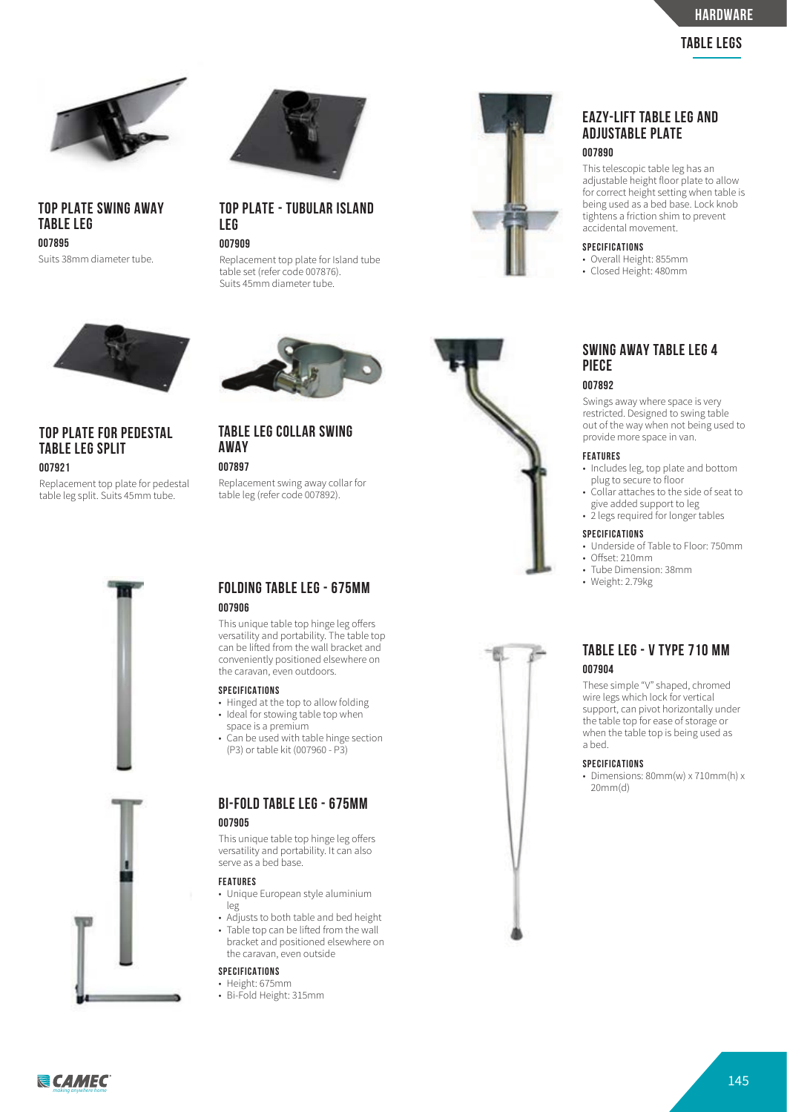

**TOP PLATE SWING AWAY TABLE LEG 007895** Suits 38mm diameter tube.



**TOP PLATE - TUBULAR ISLAND LEG**

### **007909**

Replacement top plate for Island tube table set (refer code 007876). Suits 45mm diameter tube.





#### **007890**

This telescopic table leg has an adjustable height floor plate to allow for correct height setting when table is being used as a bed base. Lock knob tightens a friction shim to prevent accidental movement.

#### **SPECIFICATIONS**

- Overall Height: 855mm
- Closed Height: 480mm



## **TOP PLATE FOR PEDESTAL TABLE LEG SPLIT**

#### **007921**

Replacement top plate for pedestal table leg split. Suits 45mm tube.



**TABLE LEG COLLAR SWING AWAY 007897**

Replacement swing away collar for table leg (refer code 007892).





### **SWING AWAY TABLE LEG 4 PIECE 007892**

## Swings away where space is very

restricted. Designed to swing table out of the way when not being used to provide more space in van.

#### **FEATURES**

- Includes leg, top plate and bottom plug to secure to floor
- Collar attaches to the side of seat to give added support to leg
- 2 legs required for longer tables

#### **SPECIFICATIONS**

- Underside of Table to Floor: 750mm
- Offset: 210mm
- Tube Dimension: 38mm
- Weight: 2.79kg

## **FOLDING TABLE LEG - 675MM 007906**

This unique table top hinge leg offers versatility and portability. The table top can be lifted from the wall bracket and conveniently positioned elsewhere on the caravan, even outdoors.

#### **SPECIFICATIONS**

- Hinged at the top to allow folding
- Ideal for stowing table top when space is a premium
- Can be used with table hinge section (P3) or table kit (007960 - P3)

## **BI-FOLD TABLE LEG - 675MM 007905**

This unique table top hinge leg offers versatility and portability. It can also serve as a bed base.

#### **FEATURES**

- Unique European style aluminium leg
- Adjusts to both table and bed height • Table top can be lifted from the wall bracket and positioned elsewhere on the caravan, even outside

#### **SPECIFICATIONS**

- Height: 675mm
- Bi-Fold Height: 315mm



These simple "V" shaped, chromed wire legs which lock for vertical support, can pivot horizontally under the table top for ease of storage or when the table top is being used as a bed.

#### **SPECIFICATIONS**

• Dimensions: 80mm(w) x 710mm(h) x 20mm(d)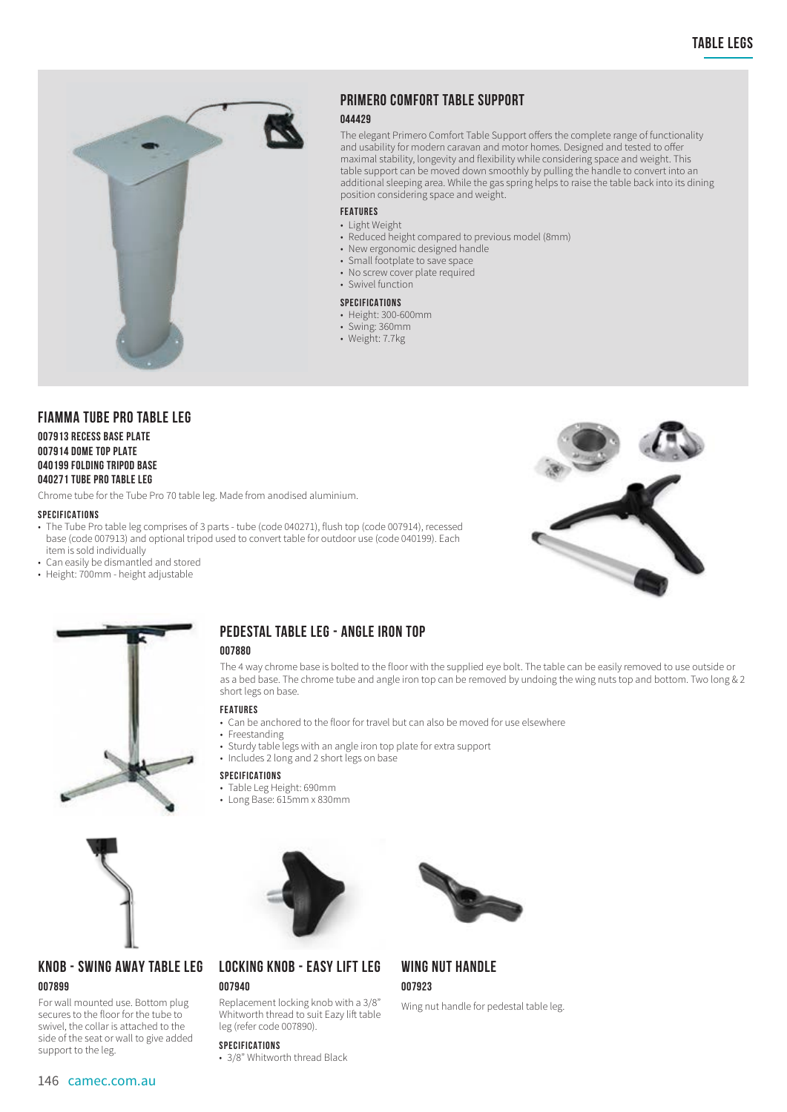

## **PRIMERO COMFORT TABLE SUPPORT**

#### **044429**

The elegant Primero Comfort Table Support offers the complete range of functionality and usability for modern caravan and motor homes. Designed and tested to offer maximal stability, longevity and flexibility while considering space and weight. This table support can be moved down smoothly by pulling the handle to convert into an additional sleeping area. While the gas spring helps to raise the table back into its dining position considering space and weight.

#### **FEATURES**

- Light Weight
- Reduced height compared to previous model (8mm)
- New ergonomic designed handle
- Small footplate to save space
- No screw cover plate required
- Swivel function

#### **SPECIFICATIONS**

- Height: 300-600mm
- Swing: 360mm
- Weight: 7.7kg

## **FIAMMA TUBE PRO TABLE LEG**

#### **007913 RECESS BASE PLATE 007914 DOME TOP PLATE 040199 FOLDING TRIPOD BASE 040271 TUBE PRO TABLE LEG**

Chrome tube for the Tube Pro 70 table leg. Made from anodised aluminium.

#### **SPECIFICATIONS**

- The Tube Pro table leg comprises of 3 parts tube (code 040271), flush top (code 007914), recessed base (code 007913) and optional tripod used to convert table for outdoor use (code 040199). Each item is sold individually
- Can easily be dismantled and stored
- Height: 700mm height adjustable





## **PEDESTAL TABLE LEG - ANGLE IRON TOP**

#### **007880**

The 4 way chrome base is bolted to the floor with the supplied eye bolt. The table can be easily removed to use outside or as a bed base. The chrome tube and angle iron top can be removed by undoing the wing nuts top and bottom. Two long & 2 short legs on base.

#### **FEATURES**

- Can be anchored to the floor for travel but can also be moved for use elsewhere
- Freestanding
- Sturdy table legs with an angle iron top plate for extra support
- Includes 2 long and 2 short legs on base

#### **SPECIFICATIONS**

**007940**

- Table Leg Height: 690mm
- Long Base: 615mm x 830mm





**LOCKING KNOB - EASY LIFT LEG**

Replacement locking knob with a 3/8" Whitworth thread to suit Eazy lift table



#### For wall mounted use. Bottom plug secures to the floor for the tube to swivel, the collar is attached to the side of the seat or wall to give added support to the leg.

**SPECIFICATIONS** • 3/8" Whitworth thread Black

leg (refer code 007890).

## **WING NUT HANDLE 007923**

Wing nut handle for pedestal table leg.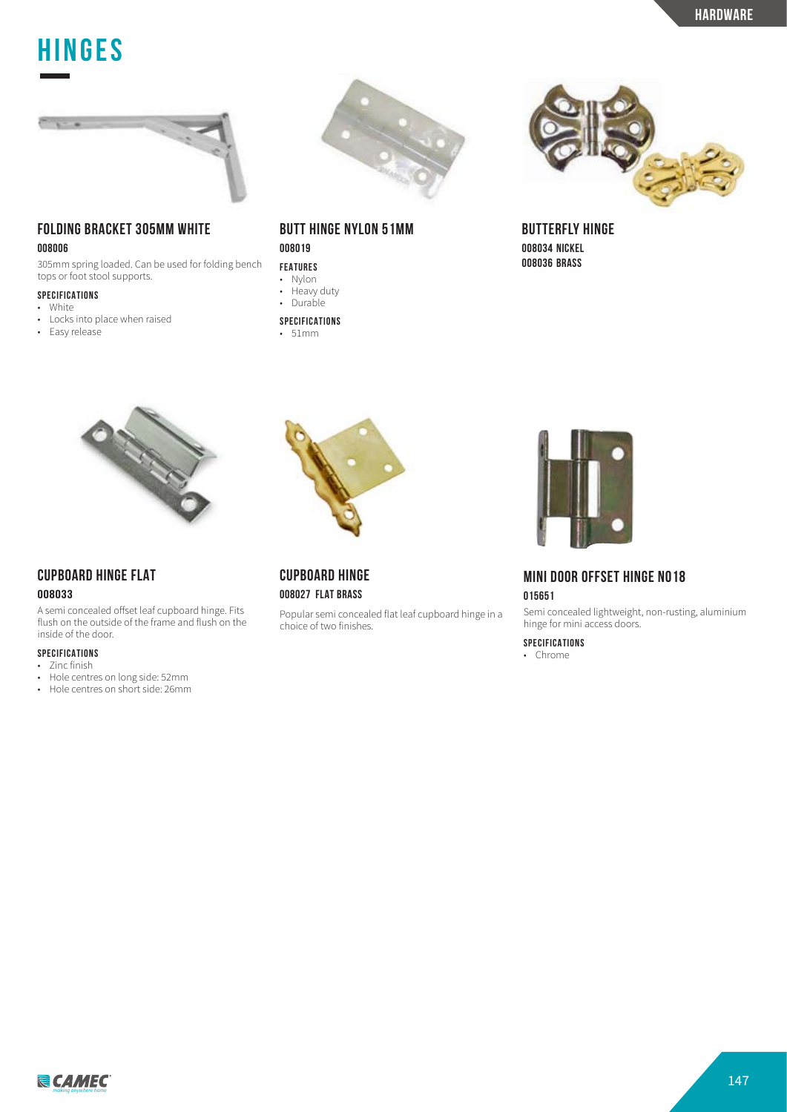## **table legs Hinges**



## **FOLDING BRACKET 305MM WHITE**

#### **008006**

305mm spring loaded. Can be used for folding bench tops or foot stool supports.

## **SPECIFICATIONS**

- White<br>• Locks Locks into place when raised
- Easy release



## **BUTT HINGE NYLON 51MM 008019**

**FEATURES**

- Nylon
- Heavy duty • Durable
- **SPECIFICATIONS**
- 51mm



## **CUPBOARD HINGE FLAT**

#### **008033**

A semi concealed offset leaf cupboard hinge. Fits flush on the outside of the frame and flush on the inside of the door.

## **SPECIFICATIONS**

- Zinc finish
- Hole centres on long side: 52mm
- Hole centres on short side: 26mm



## **CUPBOARD HINGE 008027 FLAT BRASS**

Popular semi concealed flat leaf cupboard hinge in a choice of two finishes.



**BUTTERFLY HINGE 008034 NICKEL 008036 BRASS**



## **MINI DOOR OFFSET HINGE NO18 015651**

Semi concealed lightweight, non-rusting, aluminium hinge for mini access doors.

## **SPECIFICATIONS**

• Chrome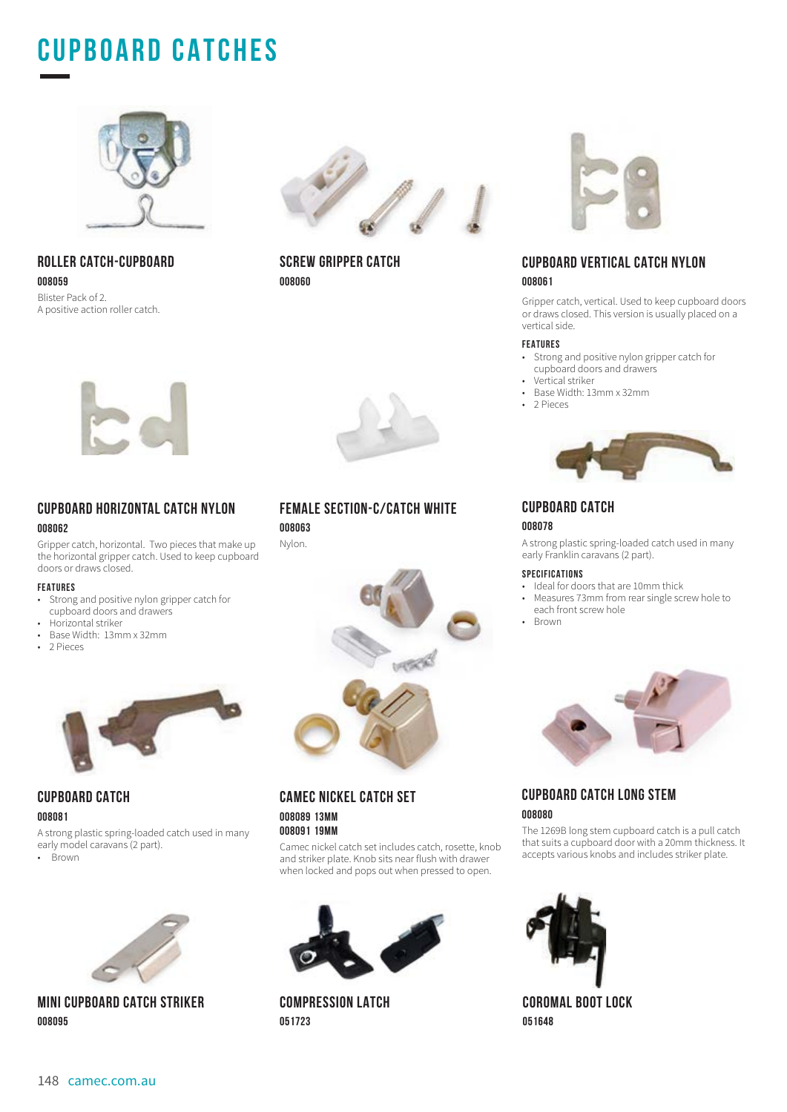## **CUPBOARD CATCHes**



**ROLLER CATCH-CUPBOARD 008059** Blister Pack of 2. A positive action roller catch.



**SCREW GRIPPER CATCH 008060** 



### **CUPBOARD VERTICAL CATCH NYLON 008061**

Gripper catch, vertical. Used to keep cupboard doors or draws closed. This version is usually placed on a vertical side.

#### **FEATURES**

- Strong and positive nylon gripper catch for cupboard doors and drawers
- Vertical striker<br>• Base Width: 13
- Base Width: 13mm x 32mm
- 2 Pieces



## **CUPBOARD CATCH**

#### **008078**

A strong plastic spring-loaded catch used in many early Franklin caravans (2 part).

#### **SPECIFICATIONS**

- Ideal for doors that are 10mm thick
- Measures 73mm from rear single screw hole to each front screw hole
- Brown



## **CUPBOARD CATCH LONG STEM 008080**

The 1269B long stem cupboard catch is a pull catch that suits a cupboard door with a 20mm thickness. It accepts various knobs and includes striker plate.



**COROMAL BOOT LOCK 051648**



### **CUPBOARD HORIZONTAL CATCH NYLON 008062**

Gripper catch, horizontal. Two pieces that make up the horizontal gripper catch. Used to keep cupboard doors or draws closed.

#### **FEATURES**

- Strong and positive nylon gripper catch for cupboard doors and drawers
- Horizontal striker
- Base Width: 13mm x 32mm<br>• 2 Pieces
- 2 Pieces



## **CUPBOARD CATCH**

**008081**

A strong plastic spring-loaded catch used in many early model caravans (2 part).

• Brown



**MINI CUPBOARD CATCH STRIKER 008095**

## **FEMALE SECTION-C/CATCH WHITE**

**008063** Nylon.



### **CAMEC NICKEL CATCH SET 008089 13MM 008091 19MM**

Camec nickel catch set includes catch, rosette, knob and striker plate. Knob sits near flush with drawer when locked and pops out when pressed to open.



**COMPRESSION LATCH 051723**

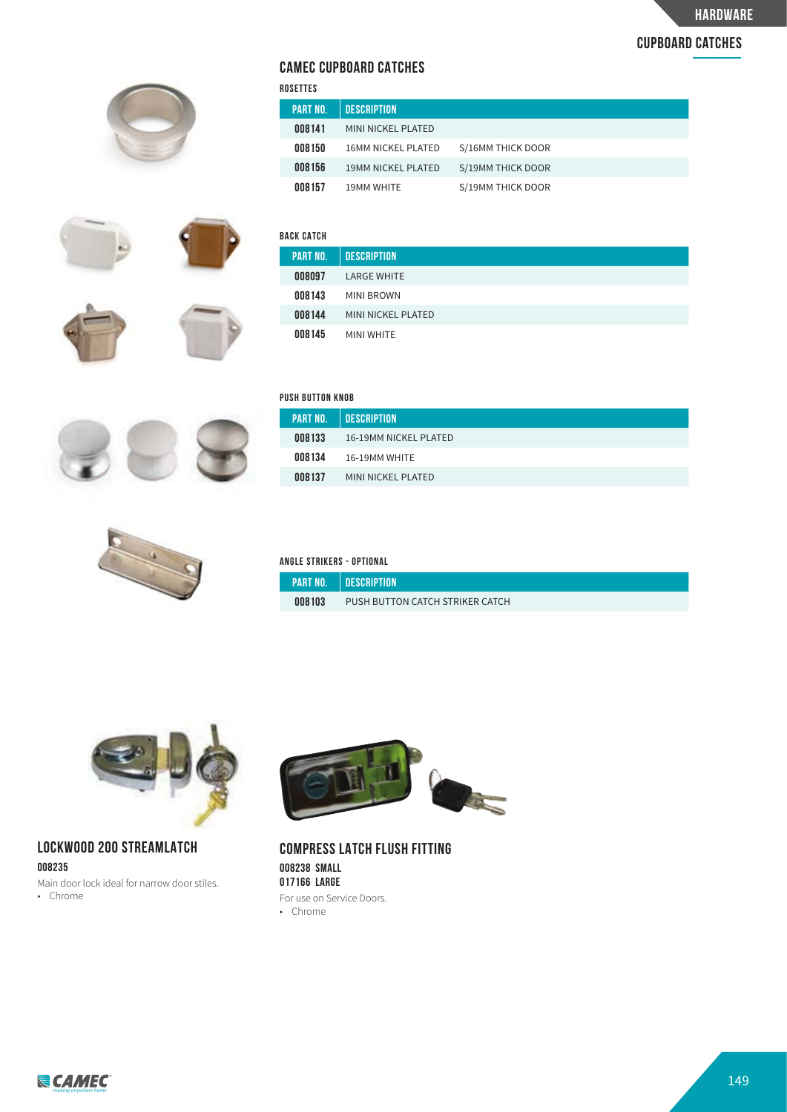## **cupboard catches**



## **CAMEC CUPBOARD CATCHES**

| ROSETTES |                 |                           |                   |  |
|----------|-----------------|---------------------------|-------------------|--|
|          | <b>PART NO.</b> | <b>DESCRIPTION</b>        |                   |  |
|          | 008141          | MINI NICKEL PLATED        |                   |  |
|          | 008150          | <b>16MM NICKEL PLATED</b> | S/16MM THICK DOOR |  |
|          | 008156          | <b>19MM NICKEL PLATED</b> | S/19MM THICK DOOR |  |
|          | 008157          | <b>19MM WHITE</b>         | S/19MM THICK DOOR |  |





| AUK UAIUH       |                    |
|-----------------|--------------------|
| <b>PART NO.</b> | <b>DESCRIPTION</b> |
| 008097          | <b>LARGE WHITE</b> |
| 008143          | MINI BROWN         |
| 008144          | MINI NICKEL PLATED |
| 008145          | MINI WHITE         |
|                 |                    |



| PUSH BUTTON KNOB |  |
|------------------|--|
|                  |  |

| <b>PART NO.</b> | <b>DESCRIPTION</b>    |
|-----------------|-----------------------|
| 008133          | 16-19MM NICKEL PLATED |
| 008134          | 16-19MM WHITE         |
| 008137          | MINI NICKEL PLATED    |



#### **ANGLE STRIKERS - OPTIONAL**

| .          |                                 |  |
|------------|---------------------------------|--|
| LPART NO.' | . I DESCRIPTION                 |  |
| 008103     | PUSH BUTTON CATCH STRIKER CATCH |  |



## **LOCKWOOD 200 STREAMLATCH 008235**

Main door lock ideal for narrow door stiles. • Chrome



**COMPRESS LATCH FLUSH FITTING 008238 SMALL 017166 LARGE** For use on Service Doors.

• Chrome

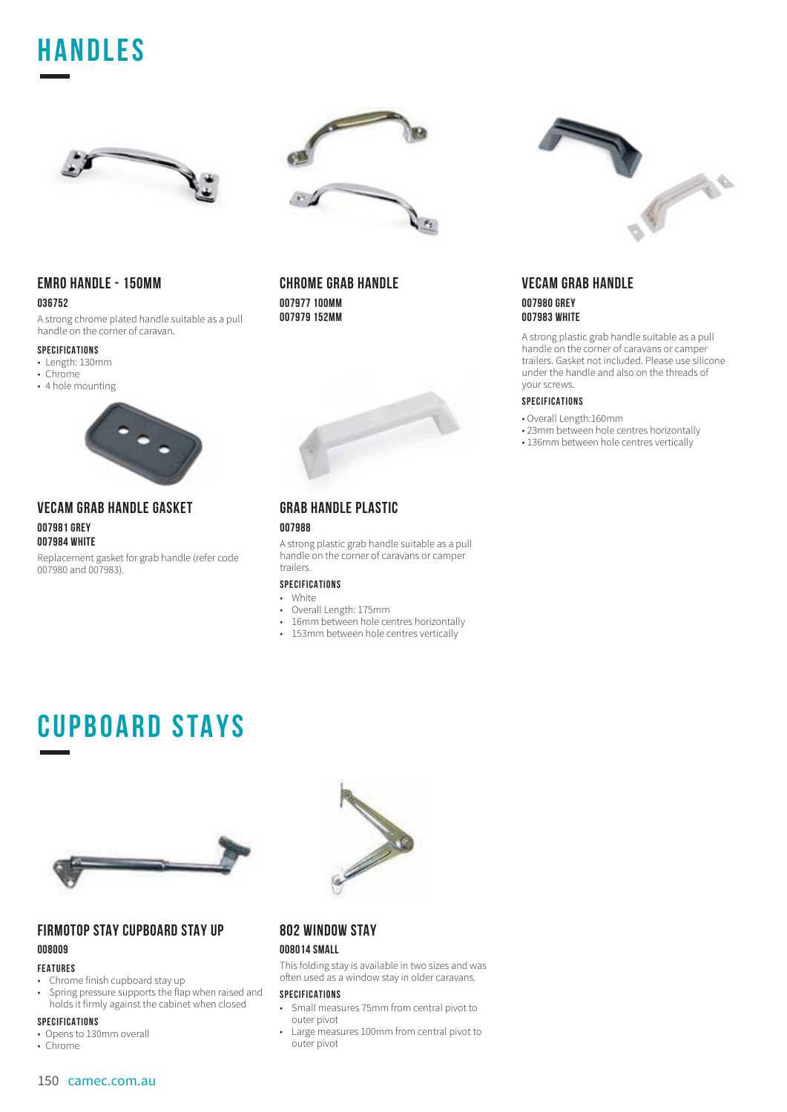## **HANDLES**





### **EMRO HANDLE - 150MM 036752**

A strong chrome plated handle suitable as a pull handle on the corner of caravan.

#### **SPECIFICATIONS**

- Length: 130mm
- Chrome
- 4 hole mounting



#### **VECAM GRAB HANDLE GASKET 007981 GREY 007984 WHITE**

Replacement gasket for grab handle (refer code 007980 and 007983).

## **CHROME GRAB HANDLE 007977 100MM**

**007979 152MM**



### **GRAB HANDLE PLASTIC 007988**

A strong plastic grab handle suitable as a pull handle on the corner of caravans or camper trailers.

## **SPECIFICATIONS**

- White
- Overall Length: 175mm
- 16mm between hole centres horizontally • 153mm between hole centres vertically



### **VECAM GRAB HANDLE 007980 GREY 007983 WHITE**

A strong plastic grab handle suitable as a pull handle on the corner of caravans or camper trailers. Gasket not included. Please use silicone under the handle and also on the threads of your screws.

#### **SPECIFICATIONS**

- Overall Length:160mm
- 23mm between hole centres horizontally
- 136mm between hole centres vertically

## **CUPBOARD STAYS**



## **FIRMOTOP STAY CUPBOARD STAY UP 008009**

#### **FEATURES**

- Chrome finish cupboard stay up<br>• Spring pressure supports the flap
- Spring pressure supports the flap when raised and holds it firmly against the cabinet when closed

#### **SPECIFICATIONS**

- Opens to 130mm overall
- Chrome



## **802 WINDOW STAY**

## **008014 SMALL**

This folding stay is available in two sizes and was often used as a window stay in older caravans.

- Small measures 75mm from central pivot to outer pivot
- Large measures 100mm from central pivot to outer pivot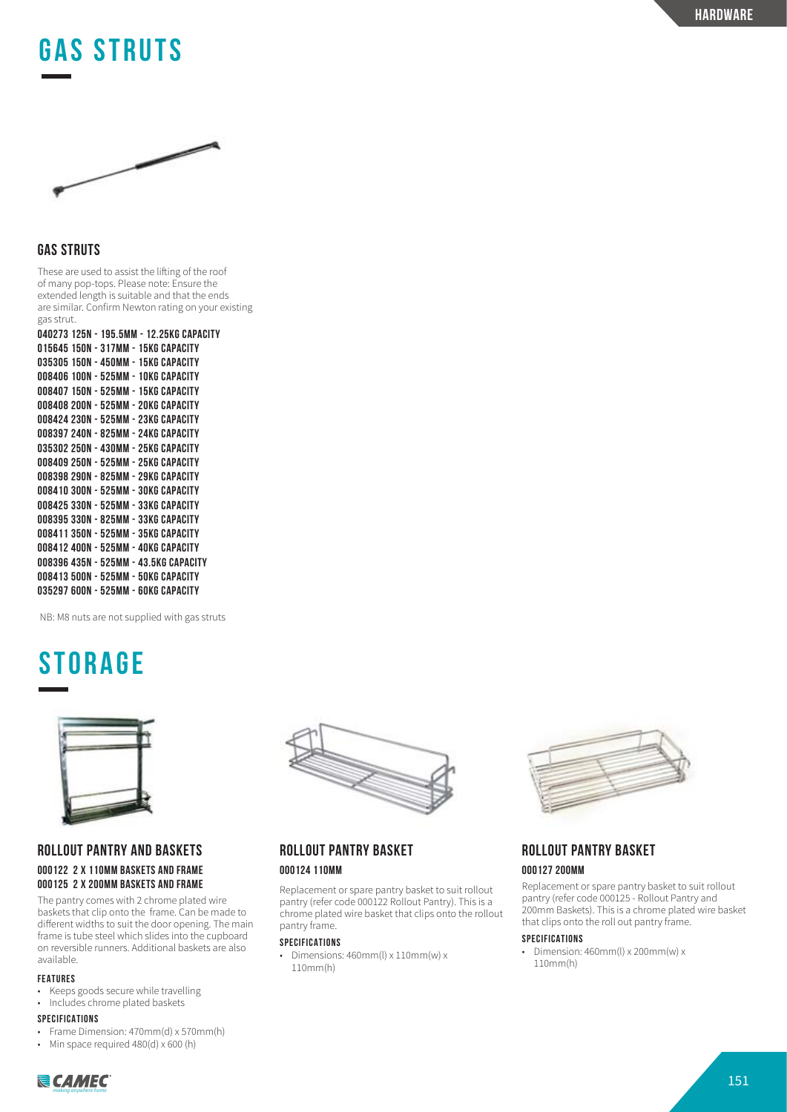## **GAS STRUTS**



## **GAS STRUTS**

These are used to assist the lifting of the roof of many pop-tops. Please note: Ensure the extended length is suitable and that the ends are similar. Confirm Newton rating on your existing gas strut.

**040273 125N - 195.5MM - 12.25KG CAPACITY 015645 150N - 317MM - 15KG CAPACITY 035305 150N - 450MM - 15KG CAPACITY 008406 100N - 525MM - 10KG CAPACITY 008407 150N - 525MM - 15KG CAPACITY 008408 200N - 525MM - 20KG CAPACITY 008424 230N - 525MM - 23KG CAPACITY 008397 240N - 825MM - 24KG CAPACITY 035302 250N - 430MM - 25KG CAPACITY 008409 250N - 525MM - 25KG CAPACITY 008398 290N - 825MM - 29KG CAPACITY 008410 300N - 525MM - 30KG CAPACITY 008425 330N - 525MM - 33KG CAPACITY 008395 330N - 825MM - 33KG CAPACITY 008411 350N - 525MM - 35KG CAPACITY 008412 400N - 525MM - 40KG CAPACITY 008396 435N - 525MM - 43.5KG CAPACITY 008413 500N - 525MM - 50KG CAPACITY 035297 600N - 525MM - 60KG CAPACITY**

NB: M8 nuts are not supplied with gas struts

## **STORAGE**



## **ROLLOUT PANTRY AND BASKETS 000122 2 X 110MM BASKETS AND FRAME 000125 2 X 200MM BASKETS AND FRAME**

The pantry comes with 2 chrome plated wire baskets that clip onto the frame. Can be made to different widths to suit the door opening. The main frame is tube steel which slides into the cupboard on reversible runners. Additional baskets are also available.

#### **FEATURES**

• Keeps goods secure while travelling • Includes chrome plated baskets

#### **SPECIFICATIONS**

- Frame Dimension: 470mm(d) x 570mm(h)
- Min space required 480(d) x 600 (h)



## **ROLLOUT PANTRY BASKET 000124 110MM**

Replacement or spare pantry basket to suit rollout pantry (refer code 000122 Rollout Pantry). This is a chrome plated wire basket that clips onto the rollout pantry frame.

#### **SPECIFICATIONS**

• Dimensions: 460mm(l) x 110mm(w) x 110mm(h)



## **ROLLOUT PANTRY BASKET**

#### **000127 200MM**

Replacement or spare pantry basket to suit rollout pantry (refer code 000125 - Rollout Pantry and 200mm Baskets). This is a chrome plated wire basket that clips onto the roll out pantry frame.

#### **SPECIFICATIONS**

• Dimension: 460mm(l) x 200mm(w) x 110mm(h)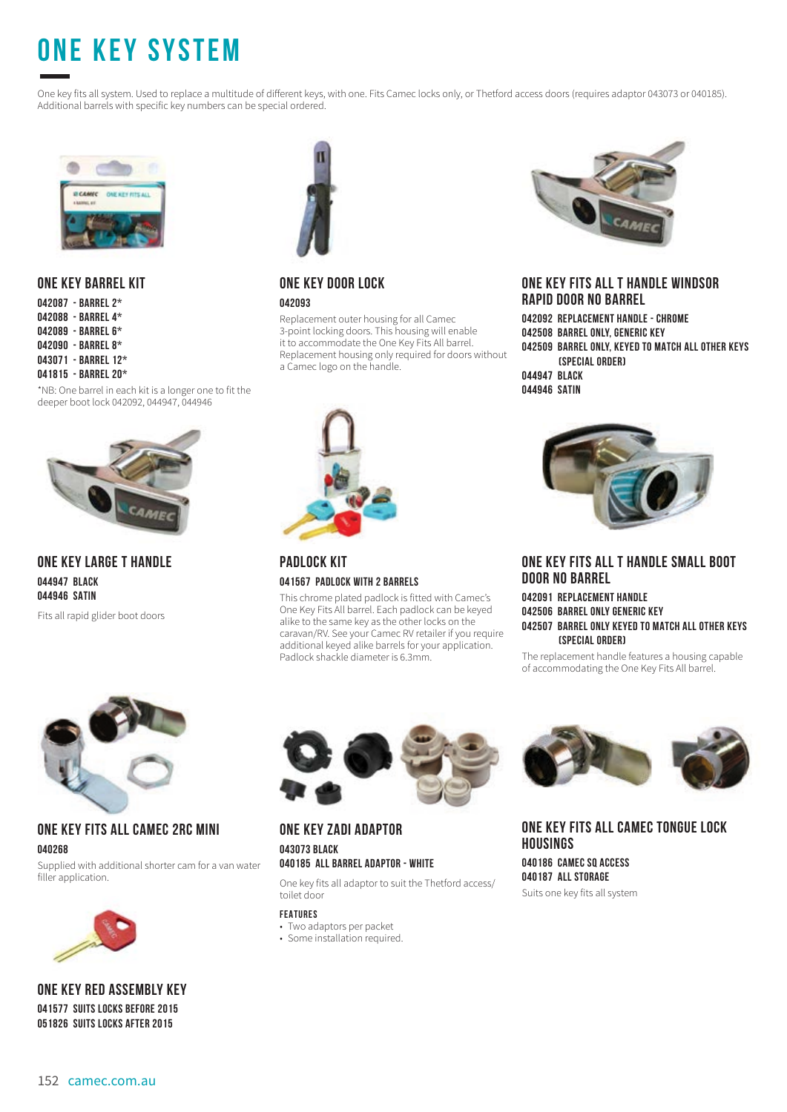# **ONE KEY SYSTEM**

One key fits all system. Used to replace a multitude of different keys, with one. Fits Camec locks only, or Thetford access doors (requires adaptor 043073 or 040185). Additional barrels with specific key numbers can be special ordered.



## **ONE KEY BARREL KIT**

**042087 - BARREL 2\* 042088 - BARREL 4\* 042089 - BARREL 6\* 042090 - BARREL 8\* 043071 - BARREL 12\***

#### **041815 - BARREL 20\***

\*NB: One barrel in each kit is a longer one to fit the deeper boot lock 042092, 044947, 044946



## **ONE KEY LARGE T HANDLE 044947 BLACK 044946 SATIN**

Fits all rapid glider boot doors



## **ONE KEY DOOR LOCK 042093**

Replacement outer housing for all Camec 3-point locking doors. This housing will enable it to accommodate the One Key Fits All barrel. Replacement housing only required for doors without a Camec logo on the handle.



**PADLOCK KIT 041567 PADLOCK WITH 2 BARRELS**

This chrome plated padlock is fitted with Camec's One Key Fits All barrel. Each padlock can be keyed alike to the same key as the other locks on the caravan/RV. See your Camec RV retailer if you require additional keyed alike barrels for your application. Padlock shackle diameter is 6.3mm.



### **ONE KEY FITS ALL T HANDLE WINDSOR RAPID DOOR NO BARREL**

**042092 REPLACEMENT HANDLE - CHROME 042508 BARREL ONLY, GENERIC KEY 042509 BARREL ONLY, KEYED TO MATCH ALL OTHER KEYS (SPECIAL ORDER) 044947 BLACK 044946 SATIN**



### **ONE KEY FITS ALL T HANDLE SMALL BOOT DOOR NO BARREL**

#### **042091 REPLACEMENT HANDLE 042506 BARREL ONLY GENERIC KEY 042507 BARREL ONLY KEYED TO MATCH ALL OTHER KEYS (SPECIAL ORDER)**

The replacement handle features a housing capable of accommodating the One Key Fits All barrel.



**ONE KEY FITS ALL CAMEC 2RC MINI 040268**

Supplied with additional shorter cam for a van water filler application.



**ONE KEY RED ASSEMBLY KEY 041577 SUITS LOCKS BEFORE 2015 051826 SUITS LOCKS AFTER 2015**



#### **ONE KEY ZADI ADAPTOR 043073 BLACK 040185 ALL BARREL ADAPTOR - WHITE**

One key fits all adaptor to suit the Thetford access/ toilet door

#### **FEATURES**

- Two adaptors per packet
- Some installation required.



## **ONE KEY FITS ALL CAMEC TONGUE LOCK HOUSINGS**

**040186 CAMEC SQ ACCESS 040187 ALL STORAGE** Suits one key fits all system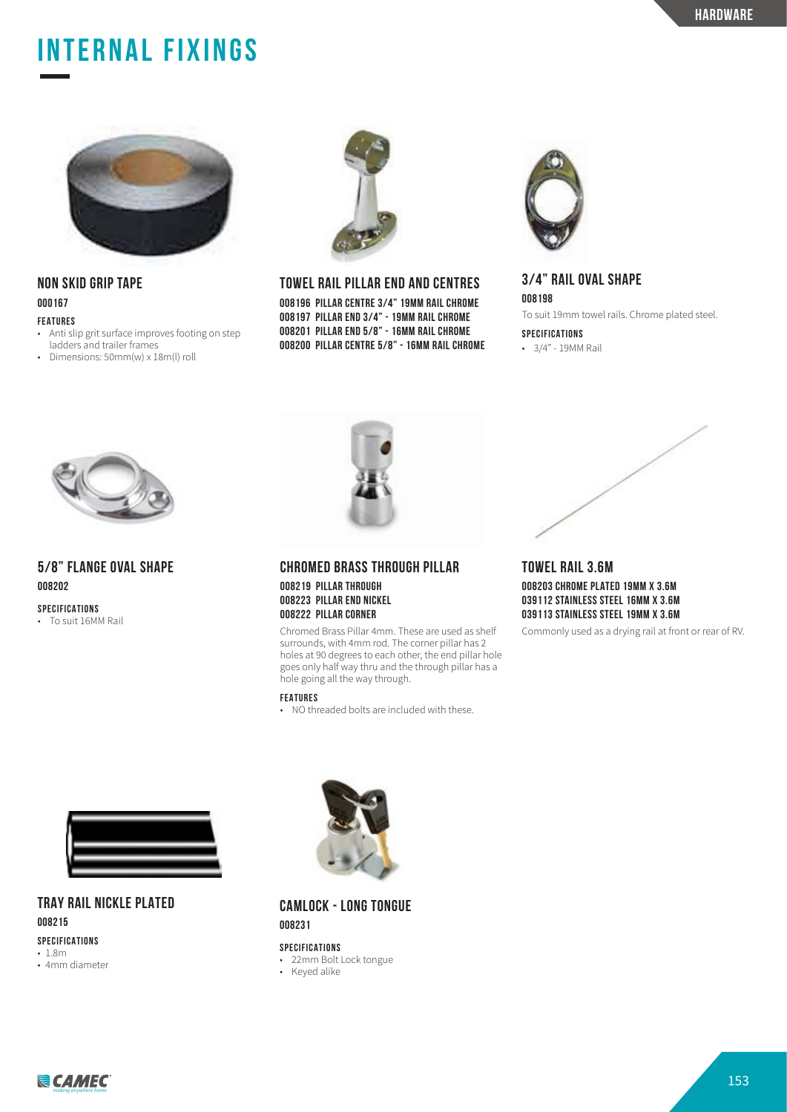## **INTERNAL FIXINGS**



## **NON SKID GRIP TAPE 000167**

#### **FEATURES**

- Anti slip grit surface improves footing on step ladders and trailer frames
- Dimensions: 50mm(w) x 18m(l) roll



#### **TOWEL RAIL PILLAR END AND CENTRES**

**008196 PILLAR CENTRE 3/4" 19MM RAIL CHROME 008197 PILLAR END 3/4" - 19MM RAIL CHROME 008201 PILLAR END 5/8" - 16MM RAIL CHROME 008200 PILLAR CENTRE 5/8" - 16MM RAIL CHROME**



## **3/4" RAIL OVAL SHAPE**

**008198** To suit 19mm towel rails. Chrome plated steel.

**SPECIFICATIONS**

• 3/4" - 19MM Rail



## **5/8" FLANGE OVAL SHAPE 008202**

**SPECIFICATIONS**

• To suit 16MM Rail



**CHROMED BRASS THROUGH PILLAR 008219 PILLAR THROUGH 008223 PILLAR END NICKEL 008222 PILLAR CORNER**

Chromed Brass Pillar 4mm. These are used as shelf surrounds, with 4mm rod. The corner pillar has 2 holes at 90 degrees to each other, the end pillar hole goes only half way thru and the through pillar has a hole going all the way through.

#### **FEATURES**

• NO threaded bolts are included with these

## **TOWEL RAIL 3.6M 008203 CHROME PLATED 19MM X 3.6M 039112 STAINLESS STEEL 16MM X 3.6M 039113 STAINLESS STEEL 19MM X 3.6M**

Commonly used as a drying rail at front or rear of RV.



## **TRAY RAIL NICKLE PLATED 008215**

#### **SPECIFICATIONS** • 1.8m

• 4mm diameter



**CAMLOCK - LONG TONGUE 008231**

- 22mm Bolt Lock tongue
- Keyed alike

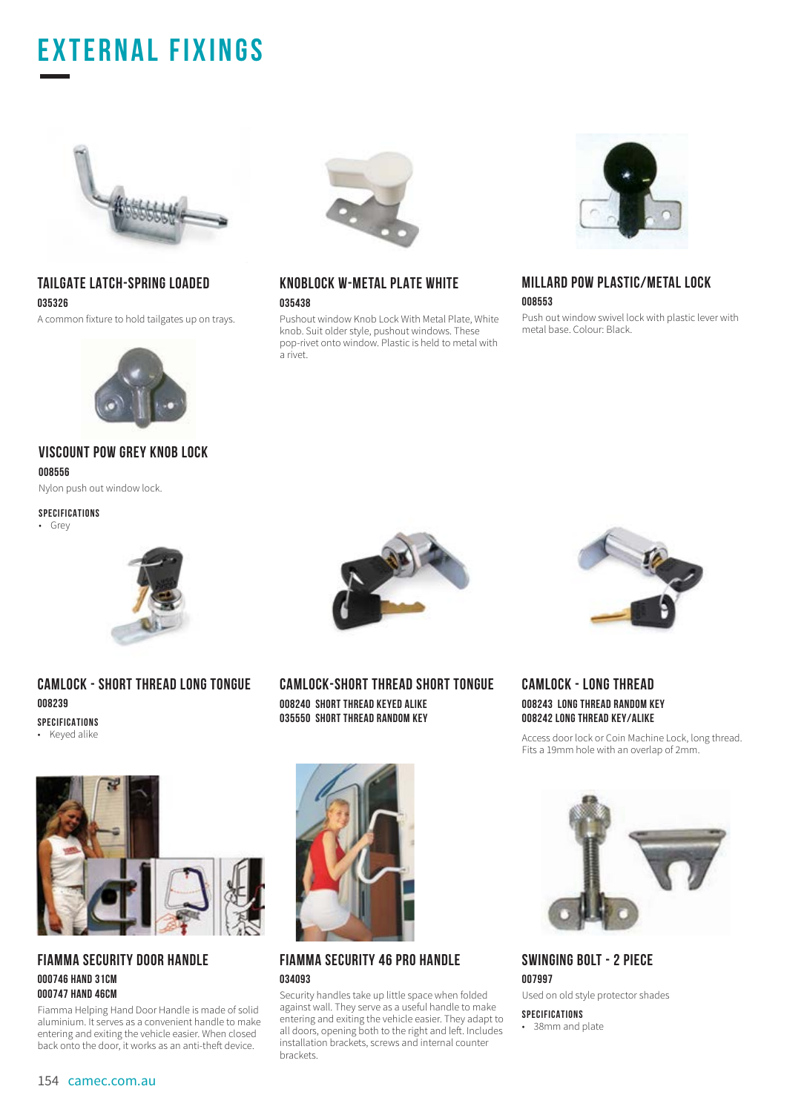## **EXTERNAL FIXINGS**



## **TAILGATE LATCH-SPRING LOADED 035326**

A common fixture to hold tailgates up on trays.



## **VISCOUNT POW GREY KNOB LOCK 008556**

Nylon push out window lock.

#### **SPECIFICATIONS**

• Grey



## **CAMLOCK - SHORT THREAD LONG TONGUE 008239**

**SPECIFICATIONS**

• Keyed alike



### **FIAMMA SECURITY DOOR HANDLE 000746 HAND 31CM 000747 HAND 46CM**

Fiamma Helping Hand Door Handle is made of solid aluminium. It serves as a convenient handle to make entering and exiting the vehicle easier. When closed back onto the door, it works as an anti-theft device.



## **KNOBLOCK W-METAL PLATE WHITE 035438**

Pushout window Knob Lock With Metal Plate, White knob. Suit older style, pushout windows. These pop-rivet onto window. Plastic is held to metal with a rivet.



## **MILLARD POW PLASTIC/METAL LOCK 008553**

Push out window swivel lock with plastic lever with metal base. Colour: Black.



**CAMLOCK-SHORT THREAD SHORT TONGUE 008240 SHORT THREAD KEYED ALIKE 035550 SHORT THREAD RANDOM KEY**



## **FIAMMA SECURITY 46 PRO HANDLE 034093**

Security handles take up little space when folded against wall. They serve as a useful handle to make entering and exiting the vehicle easier. They adapt to all doors, opening both to the right and left. Includes installation brackets, screws and internal counter brackets.



**CAMLOCK - LONG THREAD 008243 LONG THREAD RANDOM KEY 008242 LONG THREAD KEY/ALIKE**

Access door lock or Coin Machine Lock, long thread. Fits a 19mm hole with an overlap of 2mm.



## **SWINGING BOLT - 2 PIECE 007997**

Used on old style protector shades

**SPECIFICATIONS**

• 38mm and plate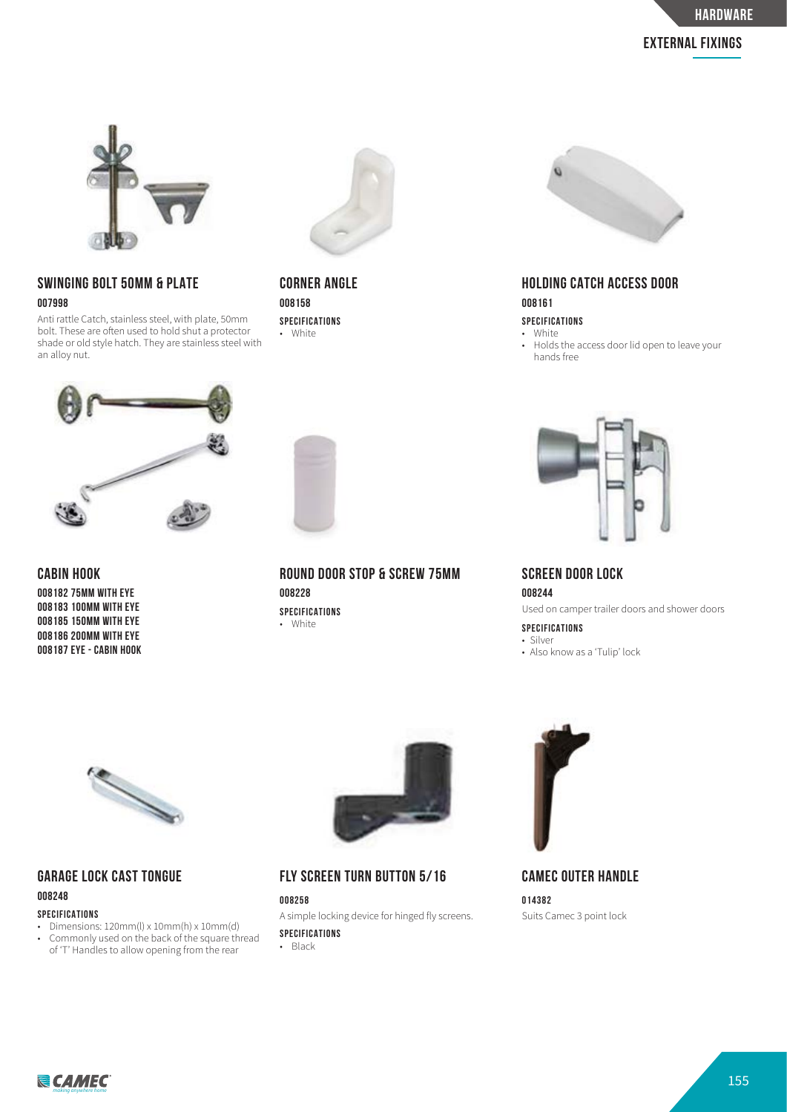## **external fixings**



## **SWINGING BOLT 50MM & PLATE 007998**

Anti rattle Catch, stainless steel, with plate, 50mm bolt. These are often used to hold shut a protector shade or old style hatch. They are stainless steel with an alloy nut.



**CABIN HOOK**

**008182 75MM WITH EYE 008183 100MM WITH EYE 008185 150MM WITH EYE 008186 200MM WITH EYE 008187 EYE - CABIN HOOK**



## **CORNER ANGLE 008158**

**SPECIFICATIONS** • White



**ROUND DOOR STOP & SCREW 75MM 008228 SPECIFICATIONS** • White



## **HOLDING CATCH ACCESS DOOR 008161**

**SPECIFICATIONS**

- White
- Holds the access door lid open to leave your hands free



## **SCREEN DOOR LOCK 008244**

Used on camper trailer doors and shower doors

**SPECIFICATIONS** • Silver

• Also know as a 'Tulip' lock



## **GARAGE LOCK CAST TONGUE 008248**

#### **SPECIFICATIONS**

- Dimensions: 120mm(l) x 10mm(h) x 10mm(d) <br>• Commonly used on the back of the square th
- Commonly used on the back of the square thread of 'T' Handles to allow opening from the rear



**FLY SCREEN TURN BUTTON 5/16**

**008258** A simple locking device for hinged fly screens. **SPECIFICATIONS**

• Black



**CAMEC OUTER HANDLE 014382** Suits Camec 3 point lock

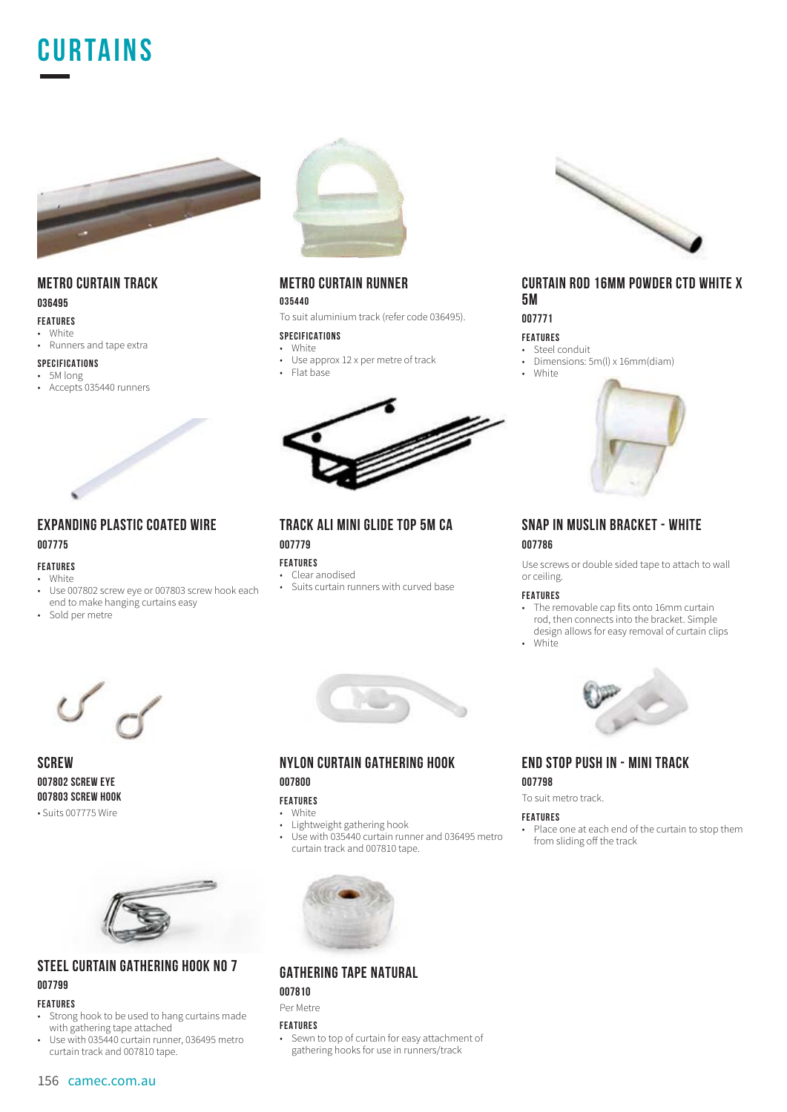



## **METRO CURTAIN TRACK 036495**

## **FEATURES**

• White • Runners and tape extra

## **SPECIFICATIONS**

 $\cdot$  5M long • Accepts 035440 runners



## **EXPANDING PLASTIC COATED WIRE 007775**

#### **FEATURES**

- White • Use 007802 screw eye or 007803 screw hook each end to make hanging curtains easy
- Sold per metre



**SCREW 007802 SCREW EYE 007803 SCREW HOOK** • Suits 007775 Wire



### **STEEL CURTAIN GATHERING HOOK NO 7 007799**

### **FEATURES**

- Strong hook to be used to hang curtains made with gathering tape attached
- Use with 035440 curtain runner, 036495 metro curtain track and 007810 tape.



## **METRO CURTAIN RUNNER**

#### **035440**

To suit aluminium track (refer code 036495).

#### **SPECIFICATIONS**

- White<br>• Use a Use approx 12 x per metre of track
- Flat base



**TRACK ALI MINI GLIDE TOP 5M CA 007779**

### **FEATURES**

- Clear anodised • Suits curtain runners with curved base
- 



### **NYLON CURTAIN GATHERING HOOK 007800**

### **FEATURES**

• White

- Lightweight gathering hook<br>• Use with 035440 curtain run
- Use with 035440 curtain runner and 036495 metro curtain track and 007810 tape.



## **GATHERING TAPE NATURAL**

## **007810**

## Per Metre

#### **FEATURES**

• Sewn to top of curtain for easy attachment of gathering hooks for use in runners/track



### **CURTAIN ROD 16MM POWDER CTD WHITE X 5M**

**007771**

#### **FEATURES**

- Steel conduit
- Dimensions: 5m(l) x 16mm(diam)





## **SNAP IN MUSLIN BRACKET - WHITE 007786**

Use screws or double sided tape to attach to wall or ceiling.

#### **FEATURES**

• The removable cap fits onto 16mm curtain rod, then connects into the bracket. Simple design allows for easy removal of curtain clips

• White



## **END STOP PUSH IN - MINI TRACK 007798**

To suit metro track.

#### **FEATURES**

Place one at each end of the curtain to stop them from sliding off the track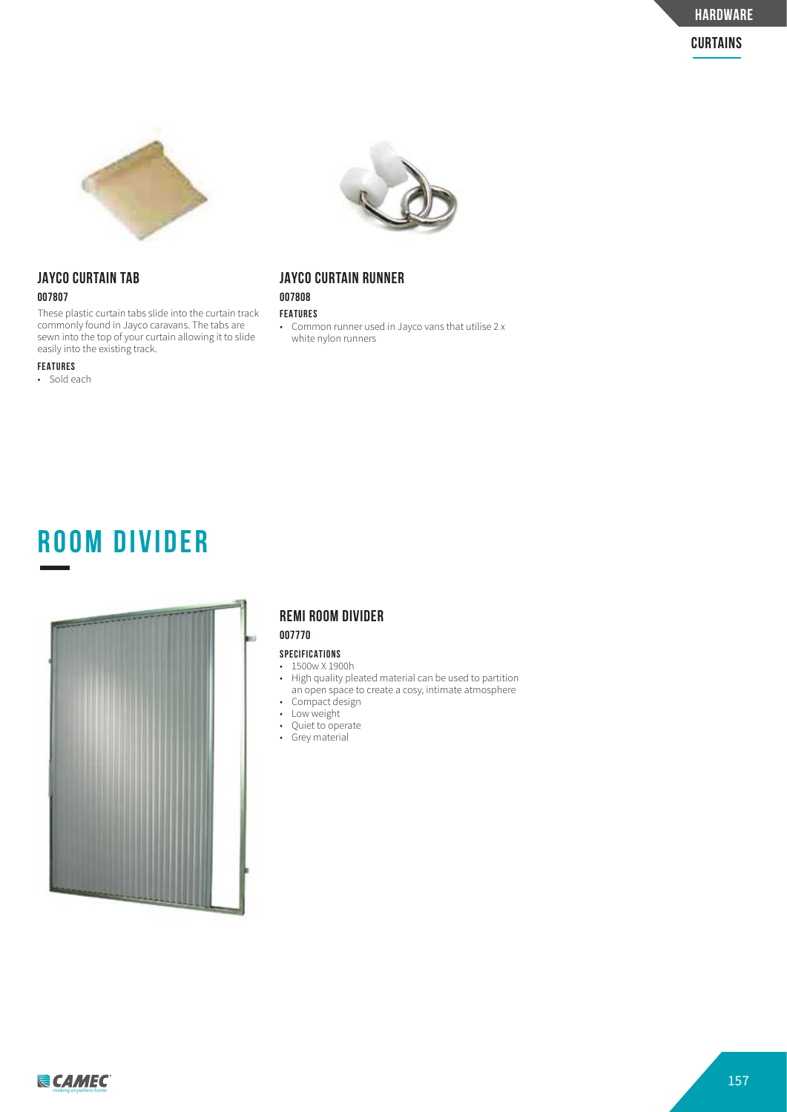

## **JAYCO CURTAIN TAB 007807**

These plastic curtain tabs slide into the curtain track commonly found in Jayco caravans. The tabs are sewn into the top of your curtain allowing it to slide easily into the existing track.

#### **FEATURES**

• Sold each



## **JAYCO CURTAIN RUNNER**

**007808 FEATURES**

• Common runner used in Jayco vans that utilise 2 x white nylon runners





## **REMI ROOM DIVIDER**

#### **007770**

- 1500w X 1900h • High quality pleated material can be used to partition
- an open space to create a cosy, intimate atmosphere • Compact design
- Low weight
- Quiet to operate
- Grey material

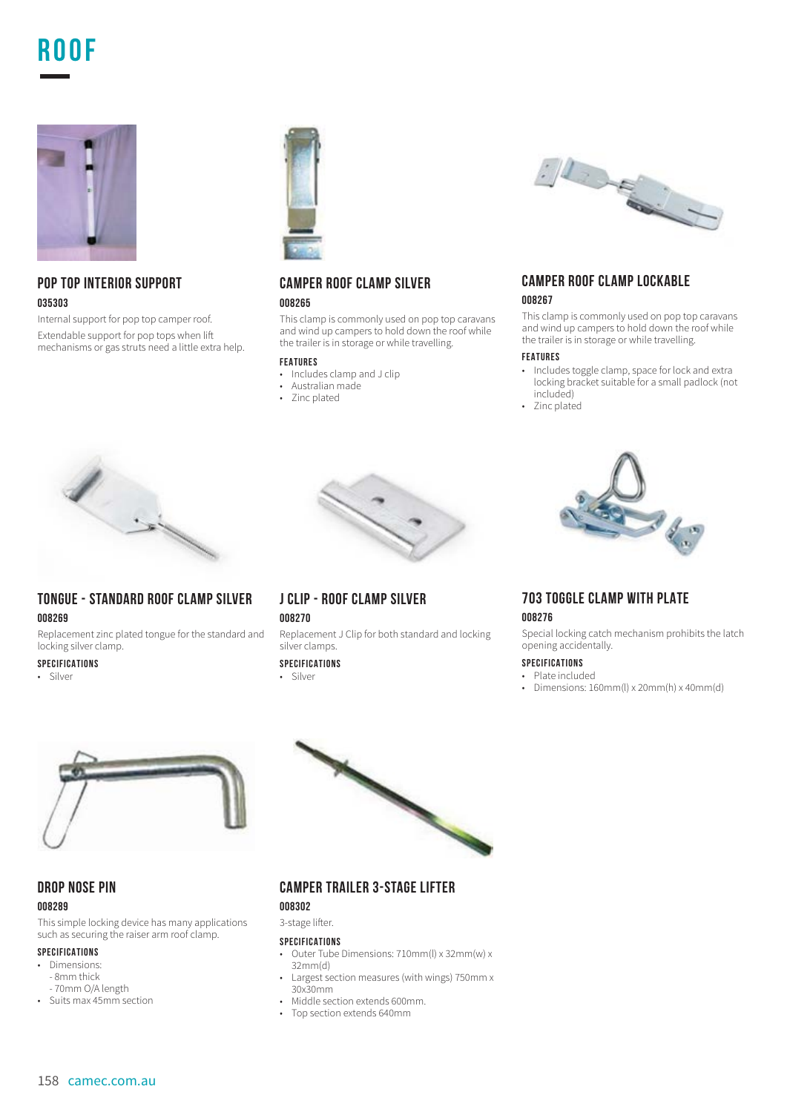## **ROOF**



## **POP TOP INTERIOR SUPPORT 035303**

Internal support for pop top camper roof. Extendable support for pop tops when li mechanisms or gas struts need a little extra help.



## **CAMPER ROOF CLAMP SILVER 008265**

This clamp is commonly used on pop top caravans and wind up campers to hold down the roof while the trailer is in storage or while travelling.

#### **FEATURES**

- Includes clamp and J clip<br>• Australian made
- Australian made
- Zinc plated



## **CAMPER ROOF CLAMP LOCKABLE 008267**

This clamp is commonly used on pop top caravans and wind up campers to hold down the roof while the trailer is in storage or while travelling.

#### **FEATURES**

- Includes toggle clamp, space for lock and extra locking bracket suitable for a small padlock (not included)
- Zinc plated



## **TONGUE - STANDARD ROOF CLAMP SILVER 008269**

Replacement zinc plated tongue for the standard and locking silver clamp.

#### **SPECIFICATIONS**

• Silver



### **J CLIP - ROOF CLAMP SILVER**

**008270**

Replacement J Clip for both standard and locking silver clamps.

#### **SPECIFICATIONS**

• Silver

# **703 TOGGLE CLAMP WITH PLATE**

#### **008276**

Special locking catch mechanism prohibits the latch opening accidentally.

#### **SPECIFICATIONS**

- Plate included
- Dimensions:  $160mm(l) \times 20mm(h) \times 40mm(d)$



#### **DROP NOSE PIN 008289**

This simple locking device has many applications such as securing the raiser arm roof clamp.

### **SPECIFICATIONS**

- Dimensions: - 8mm thick
- 70mm O/A length • Suits max 45mm section
- **CAMPER TRAILER 3-STAGE LIFTER**
- **008302**

#### 3-stage lifter.

- Outer Tube Dimensions: 710mm(l) x 32mm(w) x 32mm(d)
- Largest section measures (with wings) 750mm x 30x30mm
- Middle section extends 600mm.
- Top section extends 640mm